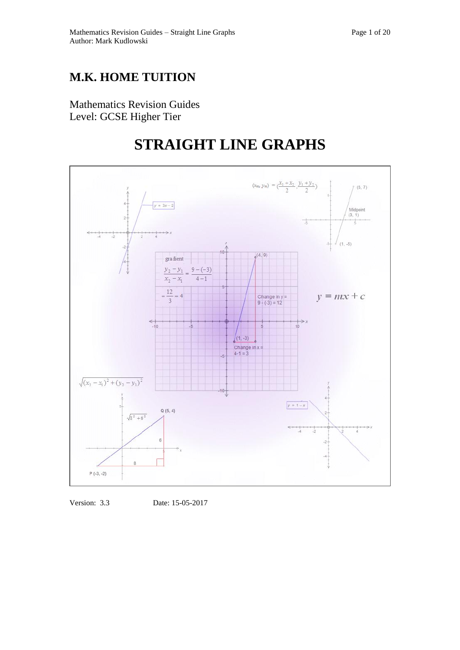## **M.K. HOME TUITION**

Mathematics Revision Guides Level: GCSE Higher Tier

# **STRAIGHT LINE GRAPHS**



Version: 3.3 Date: 15-05-2017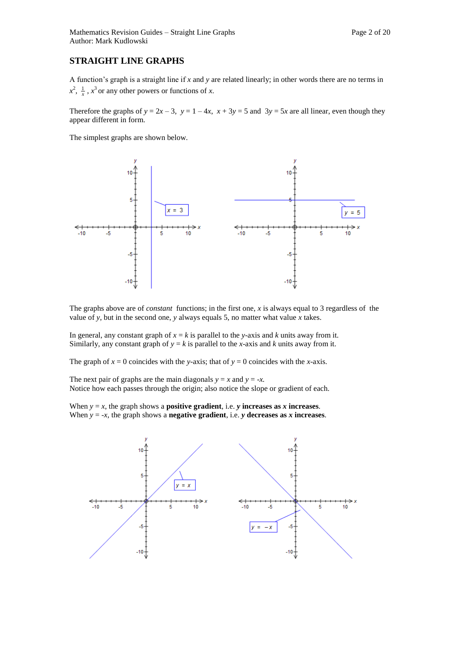### **STRAIGHT LINE GRAPHS**

A function's graph is a straight line if *x* and *y* are related linearly; in other words there are no terms in  $x^2$ ,  $\frac{1}{x}$ ,  $x^3$  or any other powers or functions of *x*.

Therefore the graphs of  $y = 2x - 3$ ,  $y = 1 - 4x$ ,  $x + 3y = 5$  and  $3y = 5x$  are all linear, even though they appear different in form.

The simplest graphs are shown below.



The graphs above are of *constant* functions; in the first one, *x* is always equal to 3 regardless of the value of *y*, but in the second one, *y* always equals 5, no matter what value *x* takes.

In general, any constant graph of  $x = k$  is parallel to the *y*-axis and *k* units away from it. Similarly, any constant graph of  $y = k$  is parallel to the *x*-axis and *k* units away from it.

The graph of  $x = 0$  coincides with the *y*-axis; that of  $y = 0$  coincides with the *x*-axis.

The next pair of graphs are the main diagonals  $y = x$  and  $y = -x$ . Notice how each passes through the origin; also notice the slope or gradient of each.

When  $y = x$ , the graph shows a **positive gradient**, i.e. *y* **increases as** *x* **increases.** When  $y = -x$ , the graph shows a **negative gradient**, i.e. *y* **decreases as** *x* **increases.** 

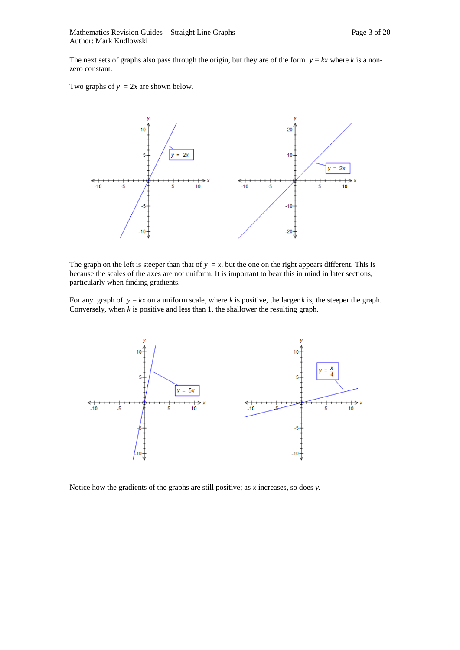The next sets of graphs also pass through the origin, but they are of the form  $y = kx$  where *k* is a nonzero constant.

Two graphs of  $y = 2x$  are shown below.



The graph on the left is steeper than that of  $y = x$ , but the one on the right appears different. This is because the scales of the axes are not uniform. It is important to bear this in mind in later sections, particularly when finding gradients.

For any graph of  $y = kx$  on a uniform scale, where k is positive, the larger k is, the steeper the graph. Conversely, when *k* is positive and less than 1, the shallower the resulting graph.



Notice how the gradients of the graphs are still positive; as *x* increases, so does *y.*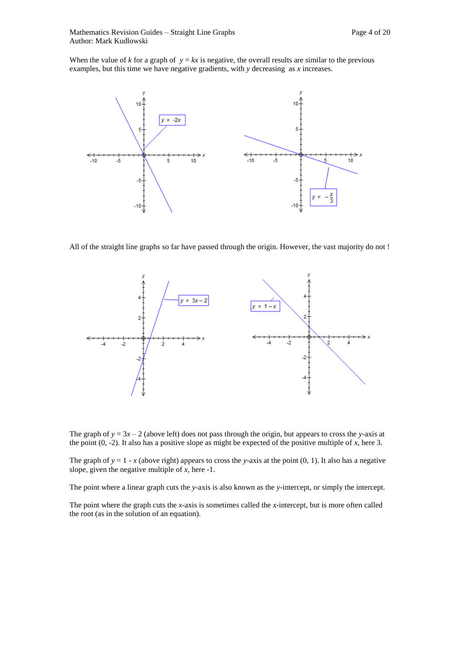When the value of *k* for a graph of  $y = kx$  is negative, the overall results are similar to the previous examples, but this time we have negative gradients, with *y* decreasing as *x* increases.



All of the straight line graphs so far have passed through the origin. However, the vast majority do not !



The graph of  $y = 3x - 2$  (above left) does not pass through the origin, but appears to cross the *y*-axis at the point (0, -2). It also has a positive slope as might be expected of the positive multiple of *x*, here 3.

The graph of  $y = 1 - x$  (above right) appears to cross the *y*-axis at the point (0, 1). It also has a negative slope, given the negative multiple of *x,* here -1.

The point where a linear graph cuts the *y-*axis is also known as the *y-*intercept, or simply the intercept.

The point where the graph cuts the *x-*axis is sometimes called the *x-*intercept, but is more often called the root (as in the solution of an equation).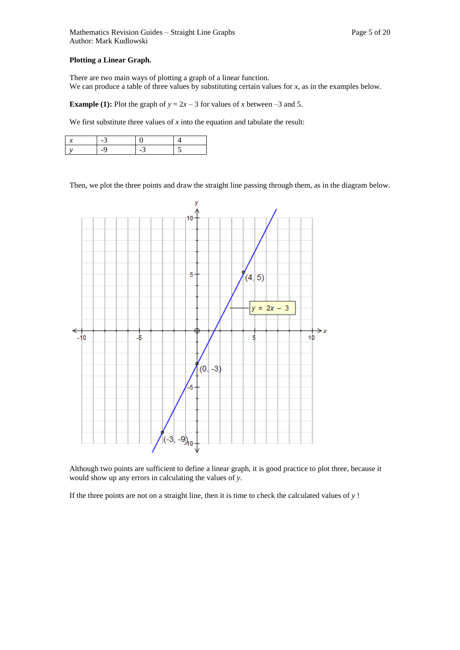### **Plotting a Linear Graph.**

There are two main ways of plotting a graph of a linear function. We can produce a table of three values by substituting certain values for *x*, as in the examples below*.*

**Example (1):** Plot the graph of  $y = 2x - 3$  for values of *x* between –3 and 5.

We first substitute three values of *x* into the equation and tabulate the result:

Then, we plot the three points and draw the straight line passing through them, as in the diagram below.



Although two points are sufficient to define a linear graph, it is good practice to plot three, because it would show up any errors in calculating the values of *y.*

If the three points are not on a straight line, then it is time to check the calculated values of *y* !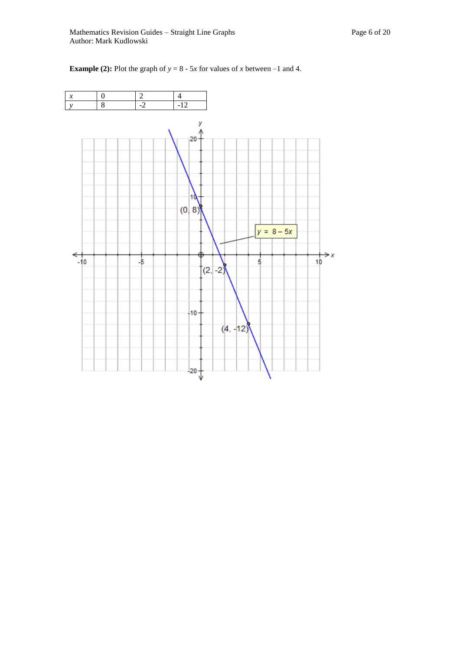

**Example (2):** Plot the graph of  $y = 8 - 5x$  for values of *x* between –1 and 4.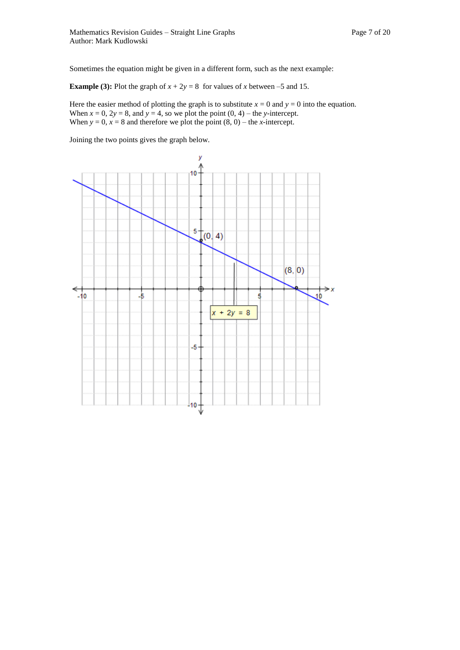Sometimes the equation might be given in a different form, such as the next example:

**Example (3):** Plot the graph of  $x + 2y = 8$  for values of *x* between –5 and 15.

Here the easier method of plotting the graph is to substitute  $x = 0$  and  $y = 0$  into the equation. When  $x = 0$ ,  $2y = 8$ , and  $y = 4$ , so we plot the point  $(0, 4)$  – the *y*-intercept. When  $y = 0$ ,  $x = 8$  and therefore we plot the point  $(8, 0)$  – the *x*-intercept.

Joining the two points gives the graph below.

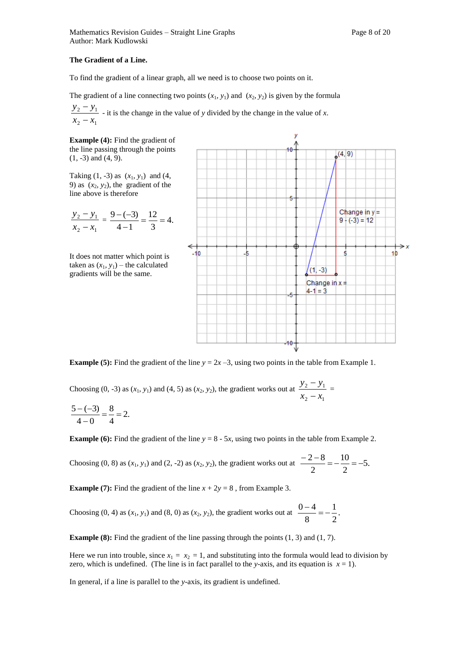### **The Gradient of a Line.**

To find the gradient of a linear graph, all we need is to choose two points on it.

The gradient of a line connecting two points  $(x_1, y_1)$  and  $(x_2, y_2)$  is given by the formula

2  $\lambda_1$ 2  $y_1$  $x_2 - x$  $y_2 - y$  $\overline{a}$  $\frac{y_1}{y_2}$  - it is the change in the value of *y* divided by the change in the value of *x*.

**Example (4):** Find the gradient of the line passing through the points (1, -3) and (4, 9).

Taking  $(1, -3)$  as  $(x_1, y_1)$  and  $(4,$ 9) as  $(x_2, y_2)$ , the gradient of the line above is therefore

$$
\frac{y_2 - y_1}{x_2 - x_1} = \frac{9 - (-3)}{4 - 1} = \frac{12}{3} = 4.
$$

It does not matter which point is taken as  $(x_1, y_1)$  – the calculated gradients will be the same.



**Example (5):** Find the gradient of the line  $y = 2x - 3$ , using two points in the table from Example 1.

Choosing  $(0, -3)$  as  $(x_1, y_1)$  and  $(4, 5)$  as  $(x_2, y_2)$ , the gradient works out at  $2 - \lambda_1$  $2 - y_1$  $x_2 - x$  $y_2 - y$  $\overline{a}$  $\frac{-y_1}{x_2}$  =

$$
\frac{5-(-3)}{4-0}=\frac{8}{4}=2.
$$

**Example (6):** Find the gradient of the line  $y = 8 - 5x$ , using two points in the table from Example 2.

Choosing (0, 8) as  $(x_1, y_1)$  and (2, -2) as  $(x_2, y_2)$ , the gradient works out at  $\frac{2}{\sqrt{5}} = -\frac{10}{\sqrt{5}} = -5$ . 2 10 2  $\frac{-2-8}{2} = -\frac{10}{2} = -$ 

**Example (7):** Find the gradient of the line  $x + 2y = 8$ , from Example 3.

Choosing (0, 4) as  $(x_1, y_1)$  and (8, 0) as  $(x_2, y_2)$ , the gradient works out at  $\frac{0}{x_2} = -\frac{1}{x}$ . 2 1 8  $\frac{0-4}{0}$  = -

**Example (8):** Find the gradient of the line passing through the points (1, 3) and (1, 7).

Here we run into trouble, since  $x_1 = x_2 = 1$ , and substituting into the formula would lead to division by zero, which is undefined. (The line is in fact parallel to the *y*-axis, and its equation is  $x = 1$ ).

In general, if a line is parallel to the *y*-axis*,* its gradient is undefined.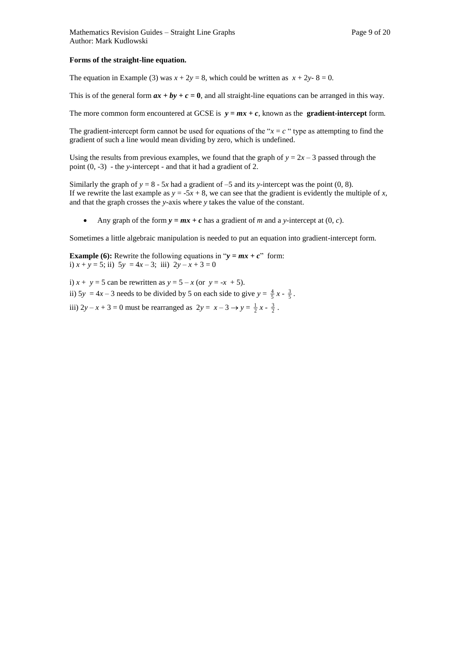### **Forms of the straight-line equation.**

The equation in Example (3) was  $x + 2y = 8$ , which could be written as  $x + 2y - 8 = 0$ .

This is of the general form  $ax + by + c = 0$ , and all straight-line equations can be arranged in this way.

The more common form encountered at GCSE is  $y = mx + c$ , known as the **gradient-intercept** form.

The gradient-intercept form cannot be used for equations of the " $x = c$ " type as attempting to find the gradient of such a line would mean dividing by zero, which is undefined.

Using the results from previous examples, we found that the graph of  $y = 2x - 3$  passed through the point (0, -3) - the *y-*intercept - and that it had a gradient of 2.

Similarly the graph of  $y = 8 - 5x$  had a gradient of  $-5$  and its *y*-intercept was the point (0, 8). If we rewrite the last example as  $y = -5x + 8$ , we can see that the gradient is evidently the multiple of *x*, and that the graph crosses the *y-*axis where *y* takes the value of the constant.

Any graph of the form  $y = mx + c$  has a gradient of *m* and a *y*-intercept at (0, *c*).

Sometimes a little algebraic manipulation is needed to put an equation into gradient-intercept form.

**Example (6):** Rewrite the following equations in " $y = mx + c$ " form: i)  $x + y = 5$ ; ii)  $5y = 4x - 3$ ; iii)  $2y - x + 3 = 0$ 

i)  $x + y = 5$  can be rewritten as  $y = 5 - x$  (or  $y = -x + 5$ ). ii)  $5y = 4x - 3$  needs to be divided by 5 on each side to give  $y = \frac{4}{5}x - \frac{3}{5}$ . iii)  $2y - x + 3 = 0$  must be rearranged as  $2y = x - 3 \rightarrow y = \frac{1}{2}x - \frac{3}{2}$ .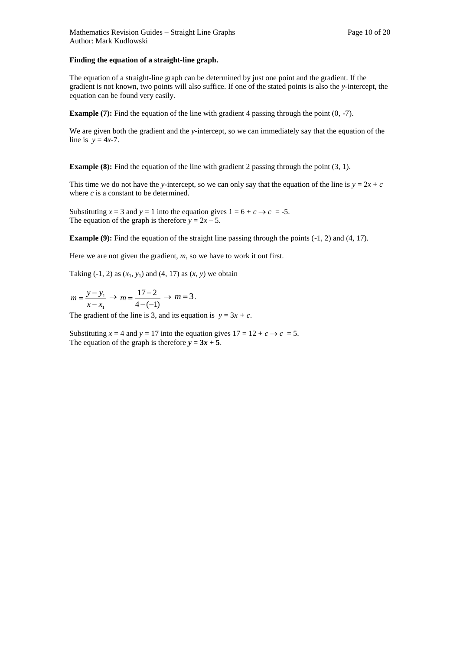### **Finding the equation of a straight-line graph.**

The equation of a straight-line graph can be determined by just one point and the gradient. If the gradient is not known, two points will also suffice. If one of the stated points is also the *y-*intercept, the equation can be found very easily.

**Example (7):** Find the equation of the line with gradient 4 passing through the point (0, -7).

We are given both the gradient and the *y-*intercept, so we can immediately say that the equation of the line is  $y = 4x-7$ .

**Example (8):** Find the equation of the line with gradient 2 passing through the point (3, 1).

This time we do not have the *y*-intercept, so we can only say that the equation of the line is  $y = 2x + c$ where *c* is a constant to be determined.

Substituting  $x = 3$  and  $y = 1$  into the equation gives  $1 = 6 + c \rightarrow c = -5$ . The equation of the graph is therefore  $y = 2x - 5$ .

**Example (9):** Find the equation of the straight line passing through the points (-1, 2) and (4, 17).

Here we are not given the gradient, *m*, so we have to work it out first.

Taking  $(-1, 2)$  as  $(x_1, y_1)$  and  $(4, 17)$  as  $(x, y)$  we obtain

1 1  $x - x$  $m = \frac{y - y}{y}$  $\overline{a}$  $=\frac{y-y_1}{y_1}\rightarrow$  $4 - (-1)$  $17 - 2$  $-($  $m = \frac{17-2}{4} \rightarrow m = 3$ .

The gradient of the line is 3, and its equation is  $y = 3x + c$ .

Substituting  $x = 4$  and  $y = 17$  into the equation gives  $17 = 12 + c \rightarrow c = 5$ . The equation of the graph is therefore  $y = 3x + 5$ .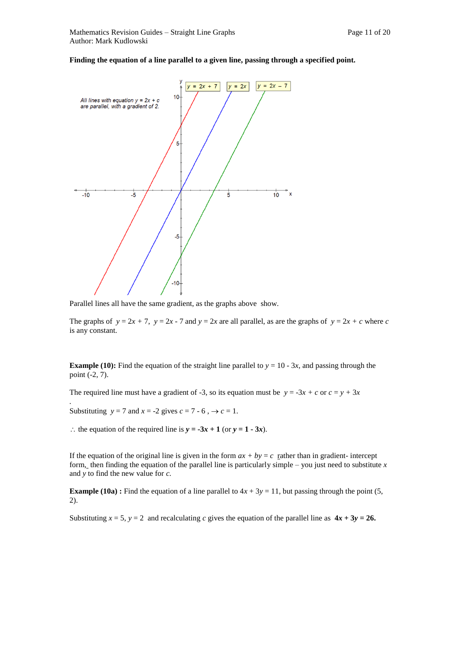### **Finding the equation of a line parallel to a given line, passing through a specified point.**



Parallel lines all have the same gradient, as the graphs above show.

The graphs of  $y = 2x + 7$ ,  $y = 2x - 7$  and  $y = 2x$  are all parallel, as are the graphs of  $y = 2x + c$  where *c* is any constant.

**Example (10):** Find the equation of the straight line parallel to  $y = 10 - 3x$ , and passing through the point (-2, 7).

The required line must have a gradient of -3, so its equation must be  $y = -3x + c$  or  $c = y + 3x$ 

Substituting  $y = 7$  and  $x = -2$  gives  $c = 7 - 6$ ,  $\rightarrow c = 1$ .

*.*

: the equation of the required line is  $y = -3x + 1$  (or  $y = 1 - 3x$ ).

If the equation of the original line is given in the form  $ax + by = c$  rather than in gradient- intercept form, then finding the equation of the parallel line is particularly simple – you just need to substitute *x*  and *y* to find the new value for *c.*

**Example (10a) :** Find the equation of a line parallel to  $4x + 3y = 11$ , but passing through the point (5, 2).

Substituting  $x = 5$ ,  $y = 2$  and recalculating *c* gives the equation of the parallel line as  $4x + 3y = 26$ .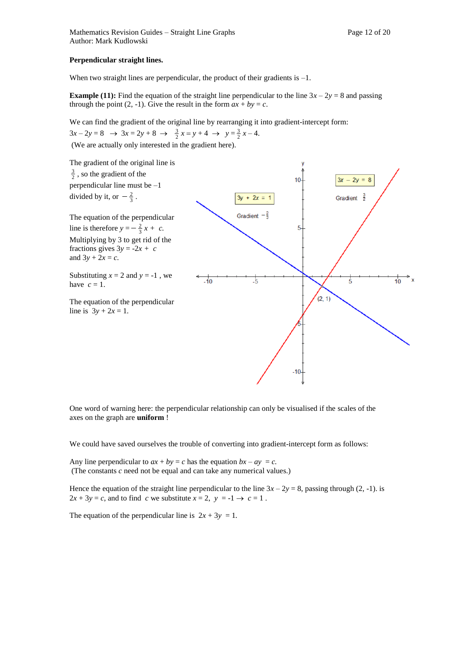When two straight lines are perpendicular, the product of their gradients is  $-1$ .

**Example (11):** Find the equation of the straight line perpendicular to the line  $3x - 2y = 8$  and passing through the point (2, -1). Give the result in the form  $ax + by = c$ .

We can find the gradient of the original line by rearranging it into gradient-intercept form:

 $3x - 2y = 8 \rightarrow 3x = 2y + 8 \rightarrow \frac{3}{2}x = y + 4 \rightarrow y = \frac{3}{2}x - 4.$ 

(We are actually only interested in the gradient here).



One word of warning here: the perpendicular relationship can only be visualised if the scales of the axes on the graph are **uniform** !

We could have saved ourselves the trouble of converting into gradient-intercept form as follows:

Any line perpendicular to  $ax + by = c$  has the equation  $bx - ay = c$ . (The constants *c* need not be equal and can take any numerical values.)

Hence the equation of the straight line perpendicular to the line  $3x - 2y = 8$ , passing through (2, -1). is  $2x + 3y = c$ , and to find *c* we substitute  $x = 2$ ,  $y = -1 \rightarrow c = 1$ .

The equation of the perpendicular line is  $2x + 3y = 1$ .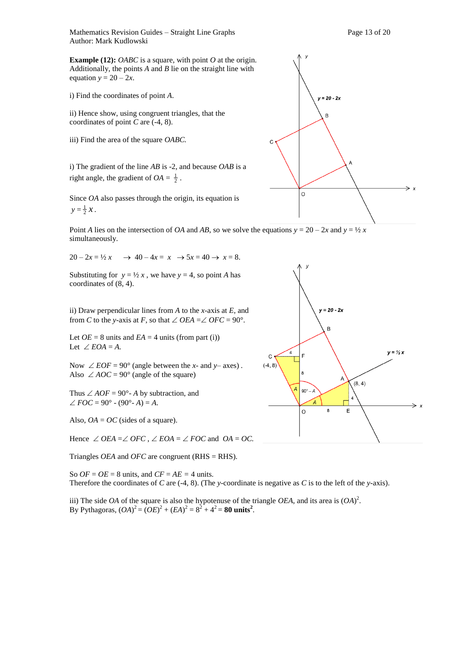Mathematics Revision Guides – Straight Line Graphs Page 13 of 20 Author: Mark Kudlowski

**Example (12):** *OABC* is a square, with point *O* at the origin. Additionally, the points *A* and *B* lie on the straight line with equation  $y = 20 - 2x$ .

i) Find the coordinates of point *A*.

ii) Hence show, using congruent triangles, that the coordinates of point *C* are (-4, 8).

iii) Find the area of the square *OABC.* 

i) The gradient of the line *AB* is -2, and because *OAB* is a right angle, the gradient of  $OA = \frac{1}{2}$ .

Since *OA* also passes through the origin, its equation is  $y = \frac{1}{2} x$ .

Point *A* lies on the intersection of *OA* and *AB*, so we solve the equations  $y = 20 - 2x$  and  $y = \frac{1}{2}x$ simultaneously.

 $20 - 2x = \frac{1}{2}x \rightarrow 40 - 4x = x \rightarrow 5x = 40 \rightarrow x = 8.$ 

Substituting for  $y = \frac{1}{2}x$ , we have  $y = 4$ , so point *A* has coordinates of (8, 4).

ii) Draw perpendicular lines from *A* to the *x-*axis at *E*, and from *C* to the *y*-axis at *F*, so that  $\angle$  *OEA* =  $\angle$  *OFC* = 90°.

Let  $OE = 8$  units and  $EA = 4$  units (from part (i)) Let  $\angle EOA = A$ .

Now  $\angle EOF = 90^{\circ}$  (angle between the *x*- and *y*- axes). Also  $\angle AOC = 90^\circ$  (angle of the square)

Thus  $\angle AOF = 90^\circ$ - *A* by subtraction, and  $\angle FOC = 90^{\circ} - (90^{\circ} - A) = A$ .

Also,  $OA = OC$  (sides of a square).

Hence  $\angle$  *OEA* =  $\angle$  *OFC*,  $\angle$  *EOA* =  $\angle$  *FOC* and *OA* = *OC*.

Triangles *OEA* and *OFC* are congruent (RHS = RHS).

So  $OF = OE = 8$  units, and  $CF = AE = 4$  units. Therefore the coordinates of *C* are (-4, 8). (The *y*-coordinate is negative as *C* is to the left of the *y-*axis).

iii) The side *OA* of the square is also the hypotenuse of the triangle *OEA*, and its area is  $(OA)^2$ . By Pythagoras,  $(OA)^2 = (OE)^2 + (EA)^2 = 8^2 + 4^2 = 80$  units<sup>2</sup>.



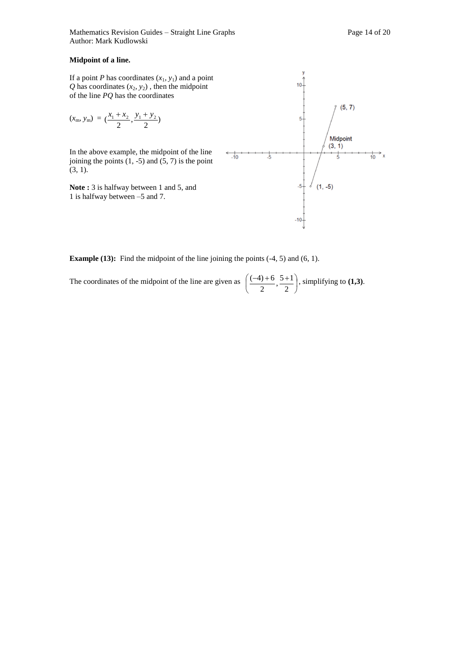### **Midpoint of a line.**

If a point *P* has coordinates  $(x_1, y_1)$  and a point  $Q$  has coordinates  $(x_2, y_2)$ , then the midpoint of the line *PQ* has the coordinates

$$
(x_{\rm m}, y_{\rm m}) = (\frac{x_1 + x_2}{2}, \frac{y_1 + y_2}{2})
$$

In the above example, the midpoint of the line joining the points  $(1, -5)$  and  $(5, 7)$  is the point (3, 1).

**Note :** 3 is halfway between 1 and 5, and 1 is halfway between –5 and 7.



**Example (13):** Find the midpoint of the line joining the points (-4, 5) and (6, 1).

The coordinates of the midpoint of the line are given as  $\left(\frac{(-4)+0}{2}, \frac{3+1}{2}\right)$ Ј  $\left(\frac{(-4)+6}{2}, \frac{5+1}{2}\right)$ L  $(-4)+6$  5+ 2  $\frac{5+1}{2}$ 2  $\left(\frac{-4}{+6}, \frac{5+1}{-2}\right)$ , simplifying to **(1,3)**.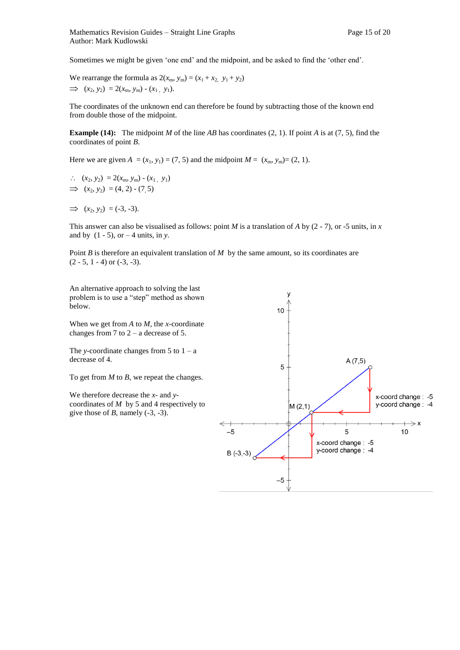Sometimes we might be given 'one end' and the midpoint, and be asked to find the 'other end'.

We rearrange the formula as  $2(x_m, y_m) = (x_1 + x_2, y_1 + y_2)$  $\implies$   $(x_2, y_2) = 2(x_m, y_m) - (x_1, y_1).$ 

The coordinates of the unknown end can therefore be found by subtracting those of the known end from double those of the midpoint.

**Example (14):** The midpoint *M* of the line *AB* has coordinates (2, 1). If point *A* is at (7, 5), find the coordinates of point *B*.

Here we are given  $A = (x_1, y_1) = (7, 5)$  and the midpoint  $M = (x_m, y_m) = (2, 1)$ .

 $(x_2, y_2) = 2(x_m, y_m) - (x_1, y_1)$  $\implies$  (*x*<sub>2</sub>*, y*<sub>2</sub>) = (4*,* 2) - (7*,* 5)

 $\implies$  (*x*<sub>2</sub>*, y*<sub>2</sub>) = (-3*,* -3).

This answer can also be visualised as follows: point *M* is a translation of *A* by (2 - 7), or -5 units, in *x*  and by  $(1 - 5)$ , or  $-4$  units, in *y*.

Point *B* is therefore an equivalent translation of *M* by the same amount, so its coordinates are  $(2 - 5, 1 - 4)$  or  $(-3, -3)$ .

An alternative approach to solving the last problem is to use a "step" method as shown below.

When we get from *A* to *M,* the *x-*coordinate changes from 7 to  $2 - a$  decrease of 5.

The *y*-coordinate changes from 5 to  $1 - a$ decrease of 4.

To get from *M* to *B*, we repeat the changes.

We therefore decrease the *x-* and *y*coordinates of *M* by 5 and 4 respectively to give those of *B*, namely  $(-3, -3)$ .

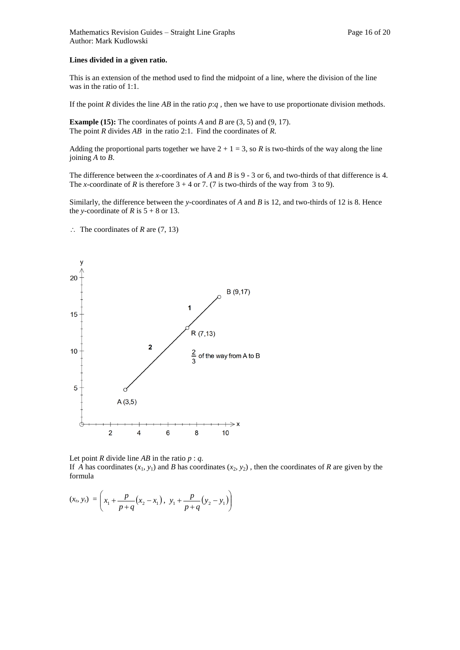### **Lines divided in a given ratio.**

This is an extension of the method used to find the midpoint of a line, where the division of the line was in the ratio of 1:1.

If the point *R* divides the line *AB* in the ratio *p*:*q ,* then we have to use proportionate division methods.

**Example (15):** The coordinates of points *A* and *B* are (3, 5) and (9, 17). The point *R* divides *AB* in the ratio 2:1. Find the coordinates of *R.* 

Adding the proportional parts together we have  $2 + 1 = 3$ , so *R* is two-thirds of the way along the line joining *A* to *B*.

The difference between the *x-*coordinates of *A* and *B* is 9 - 3 or 6, and two-thirds of that difference is 4. The *x*-coordinate of *R* is therefore  $3 + 4$  or 7. (7 is two-thirds of the way from 3 to 9).

Similarly, the difference between the *y-*coordinates of *A* and *B* is 12, and two-thirds of 12 is 8. Hence the *y*-coordinate of *R* is  $5 + 8$  or 13.

 $\therefore$  The coordinates of *R* are (7, 13)



Let point *R* divide line *AB* in the ratio  $p : q$ . If *A* has coordinates  $(x_1, y_1)$  and *B* has coordinates  $(x_2, y_2)$ , then the coordinates of *R* are given by the formula

$$
(x_p y_r) = \left(x_1 + \frac{p}{p+q}(x_2 - x_1), y_1 + \frac{p}{p+q}(y_2 - y_1)\right)
$$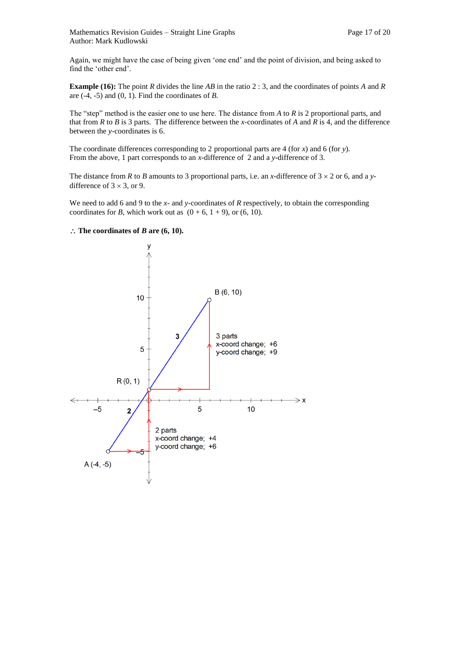Again, we might have the case of being given 'one end' and the point of division, and being asked to find the 'other end'.

**Example (16):** The point *R* divides the line *AB* in the ratio 2 : 3, and the coordinates of points *A* and *R*  are (-4, -5) and (0, 1). Find the coordinates of *B.* 

The "step" method is the easier one to use here. The distance from *A* to *R* is 2 proportional parts, and that from *R* to *B* is 3 parts. The difference between the *x-*coordinates of *A* and *R* is 4, and the difference between the *y-*coordinates is 6.

The coordinate differences corresponding to 2 proportional parts are 4 (for *x*) and 6 (for *y*)*.*  From the above, 1 part corresponds to an *x-*difference of 2 and a *y*-difference of 3.

The distance from *R* to *B* amounts to 3 proportional parts, i.e. an *x*-difference of  $3 \times 2$  or 6, and a *y*difference of  $3 \times 3$ , or 9.

We need to add 6 and 9 to the *x*- and *y*-coordinates of *R* respectively, to obtain the corresponding coordinates for *B*, which work out as  $(0 + 6, 1 + 9)$ , or  $(6, 10)$ .

### $\therefore$  The coordinates of *B* are (6, 10).

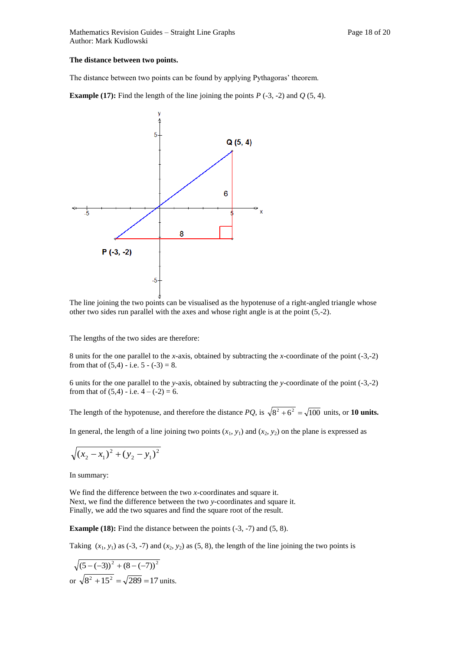### **The distance between two points.**

The distance between two points can be found by applying Pythagoras' theorem.

**Example (17):** Find the length of the line joining the points  $P(-3, -2)$  and  $Q(5, 4)$ .



The line joining the two points can be visualised as the hypotenuse of a right-angled triangle whose other two sides run parallel with the axes and whose right angle is at the point (5,-2).

The lengths of the two sides are therefore:

8 units for the one parallel to the *x-*axis, obtained by subtracting the *x*-coordinate of the point (-3,-2) from that of  $(5,4)$  - i.e.  $5 - (-3) = 8$ .

6 units for the one parallel to the *y-*axis, obtained by subtracting the *y*-coordinate of the point (-3,-2) from that of  $(5,4)$  - i.e.  $4 - (-2) = 6$ .

The length of the hypotenuse, and therefore the distance  $PQ$ , is  $\sqrt{8^2 + 6^2} = \sqrt{100}$  units, or **10 units.** 

In general, the length of a line joining two points  $(x_1, y_1)$  and  $(x_2, y_2)$  on the plane is expressed as

$$
\sqrt{(x_2 - x_1)^2 + (y_2 - y_1)^2}
$$

In summary:

We find the difference between the two *x-*coordinates and square it. Next, we find the difference between the two *y-*coordinates and square it. Finally, we add the two squares and find the square root of the result.

**Example (18):** Find the distance between the points (-3, -7) and (5, 8).

Taking  $(x_1, y_1)$  as (-3, -7) and  $(x_2, y_2)$  as (5, 8), the length of the line joining the two points is

$$
\sqrt{(5-(-3))^2 + (8-(-7))^2}
$$
  
or  $\sqrt{8^2 + 15^2} = \sqrt{289} = 17$  units.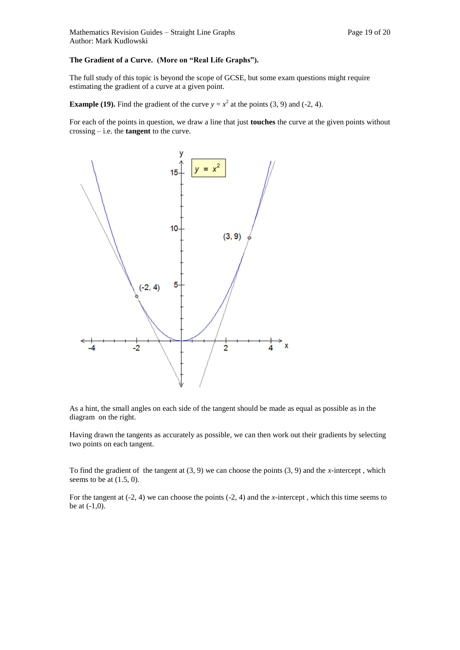### **The Gradient of a Curve. (More on "Real Life Graphs").**

The full study of this topic is beyond the scope of GCSE, but some exam questions might require estimating the gradient of a curve at a given point.

**Example (19).** Find the gradient of the curve  $y = x^2$  at the points (3, 9) and (-2, 4).

For each of the points in question, we draw a line that just **touches** the curve at the given points without crossing – i.e. the **tangent** to the curve.



As a hint, the small angles on each side of the tangent should be made as equal as possible as in the diagram on the right.

Having drawn the tangents as accurately as possible, we can then work out their gradients by selecting two points on each tangent.

To find the gradient of the tangent at (3, 9) we can choose the points (3, 9) and the *x-*intercept , which seems to be at  $(1.5, 0)$ .

For the tangent at (-2, 4) we can choose the points (-2, 4) and the *x-*intercept , which this time seems to be at (-1,0).